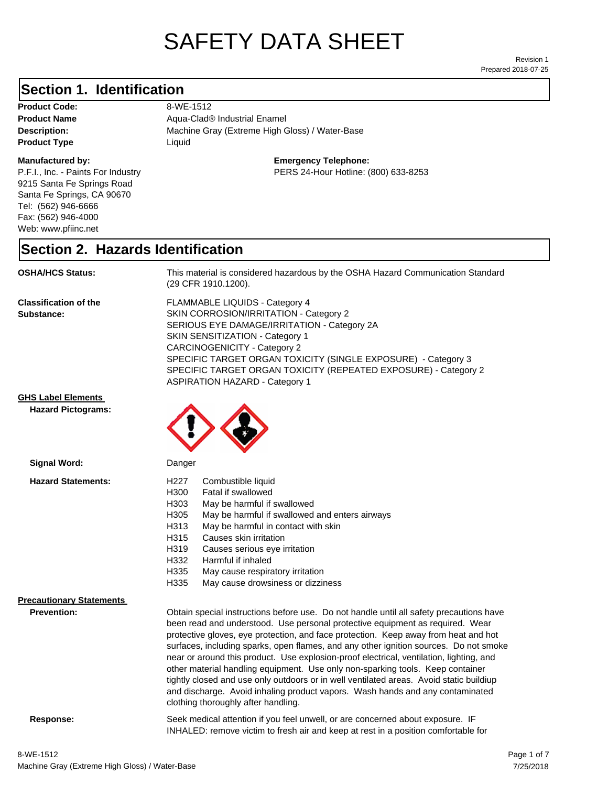# SAFETY DATA SHEET

Prepared 2018-07-25 Revision 1

### **Section 1. Identification**

Product Code: 8-WE-1512 **Product Type Liquid Liquid** 

### **Manufactured by:**

P.F.I., Inc. - Paints For Industry 9215 Santa Fe Springs Road Santa Fe Springs, CA 90670 Tel: (562) 946-6666 Fax: (562) 946-4000 Web: www.pfiinc.net

Description: **Machine Gray (Extreme High Gloss) / Water-Base Product Name** Aqua-Clad<sup>®</sup> Industrial Enamel

### **Emergency Telephone:**

PERS 24-Hour Hotline: (800) 633-8253

### **Section 2. Hazards Identification**

**OSHA/HCS Status:** This material is considered hazardous by the OSHA Hazard Communication Standard (29 CFR 1910.1200).

**Classification of the Substance:**

FLAMMABLE LIQUIDS - Category 4 SKIN CORROSION/IRRITATION - Category 2 SERIOUS EYE DAMAGE/IRRITATION - Category 2A SKIN SENSITIZATION - Category 1 CARCINOGENICITY - Category 2 SPECIFIC TARGET ORGAN TOXICITY (SINGLE EXPOSURE) - Category 3 SPECIFIC TARGET ORGAN TOXICITY (REPEATED EXPOSURE) - Category 2 ASPIRATION HAZARD - Category 1

INHALED: remove victim to fresh air and keep at rest in a position comfortable for

**GHS Label Elements**

**Hazard Pictograms:**



| Signal Word:                                          | Danger                                                                                                                                                                                                                                                                                                                                                                                                                                                                                                                                                                                                                                                                                                                                                   |  |
|-------------------------------------------------------|----------------------------------------------------------------------------------------------------------------------------------------------------------------------------------------------------------------------------------------------------------------------------------------------------------------------------------------------------------------------------------------------------------------------------------------------------------------------------------------------------------------------------------------------------------------------------------------------------------------------------------------------------------------------------------------------------------------------------------------------------------|--|
| <b>Hazard Statements:</b>                             | H <sub>227</sub><br>Combustible liquid<br>H300<br>Fatal if swallowed<br>H303<br>May be harmful if swallowed<br>H305<br>May be harmful if swallowed and enters airways<br>May be harmful in contact with skin<br>H313<br>Causes skin irritation<br>H315<br>H319<br>Causes serious eye irritation<br>H332<br>Harmful if inhaled<br>H335<br>May cause respiratory irritation<br>H335<br>May cause drowsiness or dizziness                                                                                                                                                                                                                                                                                                                                   |  |
| <b>Precautionary Statements</b><br><b>Prevention:</b> | Obtain special instructions before use. Do not handle until all safety precautions have<br>been read and understood. Use personal protective equipment as required. Wear<br>protective gloves, eye protection, and face protection. Keep away from heat and hot<br>surfaces, including sparks, open flames, and any other ignition sources. Do not smoke<br>near or around this product. Use explosion-proof electrical, ventilation, lighting, and<br>other material handling equipment. Use only non-sparking tools. Keep container<br>tightly closed and use only outdoors or in well ventilated areas. Avoid static buildiup<br>and discharge. Avoid inhaling product vapors. Wash hands and any contaminated<br>clothing thoroughly after handling. |  |
| Response:                                             | Seek medical attention if you feel unwell, or are concerned about exposure. IF                                                                                                                                                                                                                                                                                                                                                                                                                                                                                                                                                                                                                                                                           |  |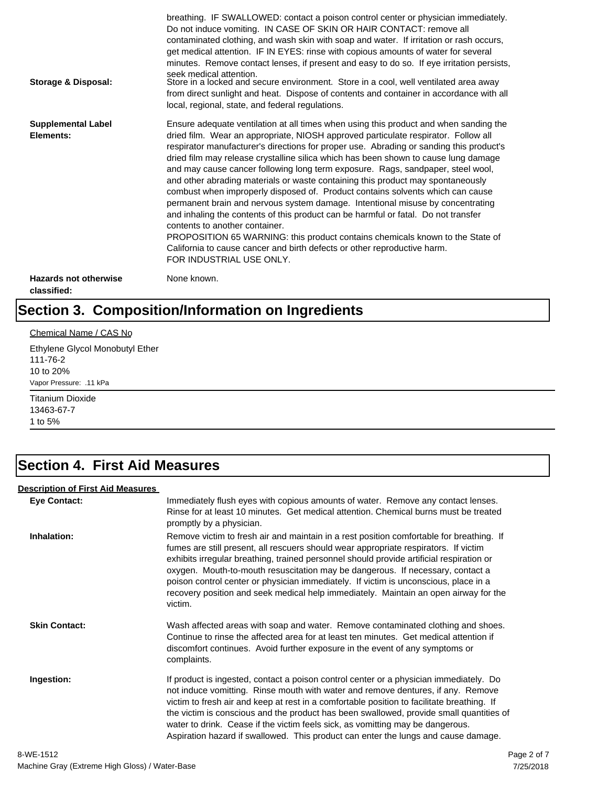| Storage & Disposal:                         | breathing. IF SWALLOWED: contact a poison control center or physician immediately.<br>Do not induce vomiting. IN CASE OF SKIN OR HAIR CONTACT: remove all<br>contaminated clothing, and wash skin with soap and water. If irritation or rash occurs,<br>get medical attention. IF IN EYES: rinse with copious amounts of water for several<br>minutes. Remove contact lenses, if present and easy to do so. If eye irritation persists,<br>seek medical attention.<br>Store in a locked and secure environment. Store in a cool, well ventilated area away<br>from direct sunlight and heat. Dispose of contents and container in accordance with all<br>local, regional, state, and federal regulations.                                                                                                                                                                                                                                                                                                                |
|---------------------------------------------|--------------------------------------------------------------------------------------------------------------------------------------------------------------------------------------------------------------------------------------------------------------------------------------------------------------------------------------------------------------------------------------------------------------------------------------------------------------------------------------------------------------------------------------------------------------------------------------------------------------------------------------------------------------------------------------------------------------------------------------------------------------------------------------------------------------------------------------------------------------------------------------------------------------------------------------------------------------------------------------------------------------------------|
| <b>Supplemental Label</b><br>Elements:      | Ensure adequate ventilation at all times when using this product and when sanding the<br>dried film. Wear an appropriate, NIOSH approved particulate respirator. Follow all<br>respirator manufacturer's directions for proper use. Abrading or sanding this product's<br>dried film may release crystalline silica which has been shown to cause lung damage<br>and may cause cancer following long term exposure. Rags, sandpaper, steel wool,<br>and other abrading materials or waste containing this product may spontaneously<br>combust when improperly disposed of. Product contains solvents which can cause<br>permanent brain and nervous system damage. Intentional misuse by concentrating<br>and inhaling the contents of this product can be harmful or fatal. Do not transfer<br>contents to another container.<br>PROPOSITION 65 WARNING: this product contains chemicals known to the State of<br>California to cause cancer and birth defects or other reproductive harm.<br>FOR INDUSTRIAL USE ONLY. |
| <b>Hazards not otherwise</b><br>classified: | None known.                                                                                                                                                                                                                                                                                                                                                                                                                                                                                                                                                                                                                                                                                                                                                                                                                                                                                                                                                                                                              |

# **Section 3. Composition/Information on Ingredients**

### Chemical Name / CAS No

Ethylene Glycol Monobutyl Ether 111-76-2 10 to 20% Vapor Pressure: .11 kPa

Titanium Dioxide 13463-67-7 1 to 5%

### **Section 4. First Aid Measures**

### **Description of First Aid Measures**

| <b>Eye Contact:</b>  | Immediately flush eyes with copious amounts of water. Remove any contact lenses.<br>Rinse for at least 10 minutes. Get medical attention. Chemical burns must be treated<br>promptly by a physician.                                                                                                                                                                                                                                                                                                                                                      |
|----------------------|-----------------------------------------------------------------------------------------------------------------------------------------------------------------------------------------------------------------------------------------------------------------------------------------------------------------------------------------------------------------------------------------------------------------------------------------------------------------------------------------------------------------------------------------------------------|
| Inhalation:          | Remove victim to fresh air and maintain in a rest position comfortable for breathing. If<br>fumes are still present, all rescuers should wear appropriate respirators. If victim<br>exhibits irregular breathing, trained personnel should provide artificial respiration or<br>oxygen. Mouth-to-mouth resuscitation may be dangerous. If necessary, contact a<br>poison control center or physician immediately. If victim is unconscious, place in a<br>recovery position and seek medical help immediately. Maintain an open airway for the<br>victim. |
| <b>Skin Contact:</b> | Wash affected areas with soap and water. Remove contaminated clothing and shoes.<br>Continue to rinse the affected area for at least ten minutes. Get medical attention if<br>discomfort continues. Avoid further exposure in the event of any symptoms or<br>complaints.                                                                                                                                                                                                                                                                                 |
| Ingestion:           | If product is ingested, contact a poison control center or a physician immediately. Do<br>not induce vomitting. Rinse mouth with water and remove dentures, if any. Remove<br>victim to fresh air and keep at rest in a comfortable position to facilitate breathing. If<br>the victim is conscious and the product has been swallowed, provide small quantities of<br>water to drink. Cease if the victim feels sick, as vomitting may be dangerous.<br>Aspiration hazard if swallowed. This product can enter the lungs and cause damage.               |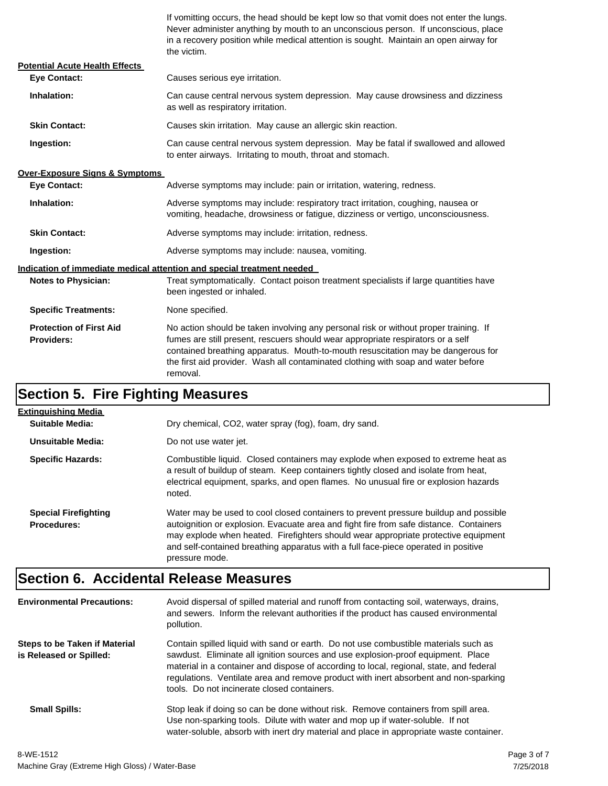If vomitting occurs, the head should be kept low so that vomit does not enter the lungs. Never administer anything by mouth to an unconscious person. If unconscious, place in a recovery position while medical attention is sought. Maintain an open airway for the victim.

| <b>Potential Acute Health Effects</b>               |                                                                                                                                                                                                                                                                                                                                                              |  |
|-----------------------------------------------------|--------------------------------------------------------------------------------------------------------------------------------------------------------------------------------------------------------------------------------------------------------------------------------------------------------------------------------------------------------------|--|
| <b>Eve Contact:</b>                                 | Causes serious eye irritation.                                                                                                                                                                                                                                                                                                                               |  |
| Inhalation:                                         | Can cause central nervous system depression. May cause drowsiness and dizziness<br>as well as respiratory irritation.                                                                                                                                                                                                                                        |  |
| <b>Skin Contact:</b>                                | Causes skin irritation. May cause an allergic skin reaction.                                                                                                                                                                                                                                                                                                 |  |
| Ingestion:                                          | Can cause central nervous system depression. May be fatal if swallowed and allowed<br>to enter airways. Irritating to mouth, throat and stomach.                                                                                                                                                                                                             |  |
| <b>Over-Exposure Signs &amp; Symptoms</b>           |                                                                                                                                                                                                                                                                                                                                                              |  |
| <b>Eye Contact:</b>                                 | Adverse symptoms may include: pain or irritation, watering, redness.                                                                                                                                                                                                                                                                                         |  |
| Inhalation:                                         | Adverse symptoms may include: respiratory tract irritation, coughing, nausea or<br>vomiting, headache, drowsiness or fatigue, dizziness or vertigo, unconsciousness.                                                                                                                                                                                         |  |
| <b>Skin Contact:</b>                                | Adverse symptoms may include: irritation, redness.                                                                                                                                                                                                                                                                                                           |  |
| Ingestion:                                          | Adverse symptoms may include: nausea, vomiting.                                                                                                                                                                                                                                                                                                              |  |
|                                                     | Indication of immediate medical attention and special treatment needed                                                                                                                                                                                                                                                                                       |  |
| <b>Notes to Physician:</b>                          | Treat symptomatically. Contact poison treatment specialists if large quantities have<br>been ingested or inhaled.                                                                                                                                                                                                                                            |  |
| <b>Specific Treatments:</b>                         | None specified.                                                                                                                                                                                                                                                                                                                                              |  |
| <b>Protection of First Aid</b><br><b>Providers:</b> | No action should be taken involving any personal risk or without proper training. If<br>fumes are still present, rescuers should wear appropriate respirators or a self<br>contained breathing apparatus. Mouth-to-mouth resuscitation may be dangerous for<br>the first aid provider. Wash all contaminated clothing with soap and water before<br>removal. |  |

# **Section 5. Fire Fighting Measures**

| Extinguishing Media                               |                                                                                                                                                                                                                                                                                                                                                                              |
|---------------------------------------------------|------------------------------------------------------------------------------------------------------------------------------------------------------------------------------------------------------------------------------------------------------------------------------------------------------------------------------------------------------------------------------|
| Suitable Media:                                   | Dry chemical, CO2, water spray (fog), foam, dry sand.                                                                                                                                                                                                                                                                                                                        |
| Unsuitable Media:                                 | Do not use water jet.                                                                                                                                                                                                                                                                                                                                                        |
| <b>Specific Hazards:</b>                          | Combustible liquid. Closed containers may explode when exposed to extreme heat as<br>a result of buildup of steam. Keep containers tightly closed and isolate from heat,<br>electrical equipment, sparks, and open flames. No unusual fire or explosion hazards<br>noted.                                                                                                    |
| <b>Special Firefighting</b><br><b>Procedures:</b> | Water may be used to cool closed containers to prevent pressure buildup and possible<br>autoignition or explosion. Evacuate area and fight fire from safe distance. Containers<br>may explode when heated. Firefighters should wear appropriate protective equipment<br>and self-contained breathing apparatus with a full face-piece operated in positive<br>pressure mode. |

### **Section 6. Accidental Release Measures**

| <b>Environmental Precautions:</b>                        | Avoid dispersal of spilled material and runoff from contacting soil, waterways, drains,<br>and sewers. Inform the relevant authorities if the product has caused environmental<br>pollution.                                                                                                                                                                                                              |
|----------------------------------------------------------|-----------------------------------------------------------------------------------------------------------------------------------------------------------------------------------------------------------------------------------------------------------------------------------------------------------------------------------------------------------------------------------------------------------|
| Steps to be Taken if Material<br>is Released or Spilled: | Contain spilled liquid with sand or earth. Do not use combustible materials such as<br>sawdust. Eliminate all ignition sources and use explosion-proof equipment. Place<br>material in a container and dispose of according to local, regional, state, and federal<br>regulations. Ventilate area and remove product with inert absorbent and non-sparking<br>tools. Do not incinerate closed containers. |
| <b>Small Spills:</b>                                     | Stop leak if doing so can be done without risk. Remove containers from spill area.<br>Use non-sparking tools. Dilute with water and mop up if water-soluble. If not<br>water-soluble, absorb with inert dry material and place in appropriate waste container.                                                                                                                                            |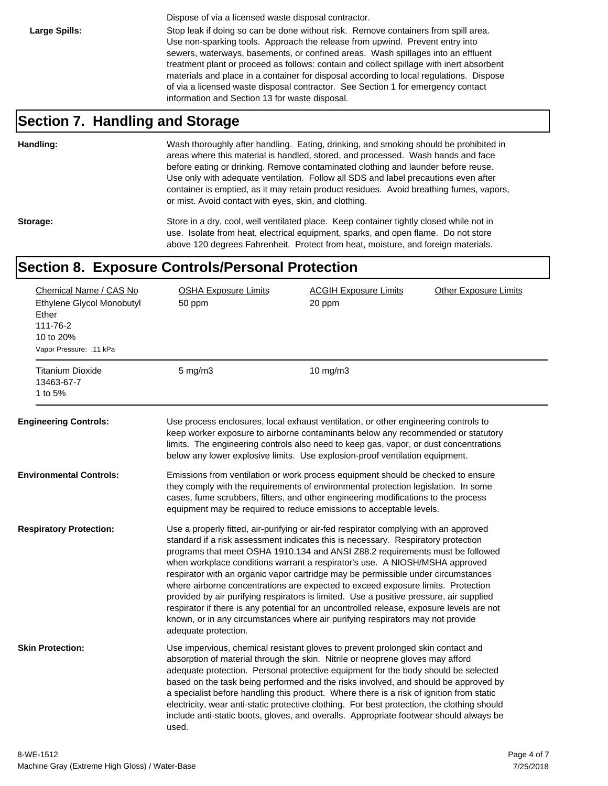Dispose of via a licensed waste disposal contractor.

Large Spills: Stop leak if doing so can be done without risk. Remove containers from spill area. Use non-sparking tools. Approach the release from upwind. Prevent entry into sewers, waterways, basements, or confined areas. Wash spillages into an effluent treatment plant or proceed as follows: contain and collect spillage with inert absorbent materials and place in a container for disposal according to local regulations. Dispose of via a licensed waste disposal contractor. See Section 1 for emergency contact information and Section 13 for waste disposal.

### **Section 7. Handling and Storage**

**Handling:** Wash thoroughly after handling. Eating, drinking, and smoking should be prohibited in areas where this material is handled, stored, and processed. Wash hands and face before eating or drinking. Remove contaminated clothing and launder before reuse. Use only with adequate ventilation. Follow all SDS and label precautions even after container is emptied, as it may retain product residues. Avoid breathing fumes, vapors, or mist. Avoid contact with eyes, skin, and clothing.

Storage: Store in a dry, cool, well ventilated place. Keep container tightly closed while not in use. Isolate from heat, electrical equipment, sparks, and open flame. Do not store above 120 degrees Fahrenheit. Protect from heat, moisture, and foreign materials.

### **Section 8. Exposure Controls/Personal Protection**

| Chemical Name / CAS No<br>Ethylene Glycol Monobutyl<br>Ether<br>111-76-2<br>10 to 20%<br>Vapor Pressure: .11 kPa | <b>OSHA Exposure Limits</b><br>50 ppm                                                                                                                                                                                                                                                                                                                                                                                                                                                                                                                                                                                                                                                                                                                                                                                 | <b>ACGIH Exposure Limits</b><br>20 ppm                                                                                                                                                                                                                                                                                                                                                                                                                                                                                                                                                                                              | <b>Other Exposure Limits</b> |
|------------------------------------------------------------------------------------------------------------------|-----------------------------------------------------------------------------------------------------------------------------------------------------------------------------------------------------------------------------------------------------------------------------------------------------------------------------------------------------------------------------------------------------------------------------------------------------------------------------------------------------------------------------------------------------------------------------------------------------------------------------------------------------------------------------------------------------------------------------------------------------------------------------------------------------------------------|-------------------------------------------------------------------------------------------------------------------------------------------------------------------------------------------------------------------------------------------------------------------------------------------------------------------------------------------------------------------------------------------------------------------------------------------------------------------------------------------------------------------------------------------------------------------------------------------------------------------------------------|------------------------------|
| <b>Titanium Dioxide</b><br>13463-67-7<br>1 to 5%                                                                 | $5 \text{ mg/m}$                                                                                                                                                                                                                                                                                                                                                                                                                                                                                                                                                                                                                                                                                                                                                                                                      | 10 $mg/m3$                                                                                                                                                                                                                                                                                                                                                                                                                                                                                                                                                                                                                          |                              |
| <b>Engineering Controls:</b>                                                                                     |                                                                                                                                                                                                                                                                                                                                                                                                                                                                                                                                                                                                                                                                                                                                                                                                                       | Use process enclosures, local exhaust ventilation, or other engineering controls to<br>keep worker exposure to airborne contaminants below any recommended or statutory<br>limits. The engineering controls also need to keep gas, vapor, or dust concentrations<br>below any lower explosive limits. Use explosion-proof ventilation equipment.                                                                                                                                                                                                                                                                                    |                              |
| <b>Environmental Controls:</b>                                                                                   | Emissions from ventilation or work process equipment should be checked to ensure<br>they comply with the requirements of environmental protection legislation. In some<br>cases, fume scrubbers, filters, and other engineering modifications to the process<br>equipment may be required to reduce emissions to acceptable levels.                                                                                                                                                                                                                                                                                                                                                                                                                                                                                   |                                                                                                                                                                                                                                                                                                                                                                                                                                                                                                                                                                                                                                     |                              |
| <b>Respiratory Protection:</b>                                                                                   | Use a properly fitted, air-purifying or air-fed respirator complying with an approved<br>standard if a risk assessment indicates this is necessary. Respiratory protection<br>programs that meet OSHA 1910.134 and ANSI Z88.2 requirements must be followed<br>when workplace conditions warrant a respirator's use. A NIOSH/MSHA approved<br>respirator with an organic vapor cartridge may be permissible under circumstances<br>where airborne concentrations are expected to exceed exposure limits. Protection<br>provided by air purifying respirators is limited. Use a positive pressure, air supplied<br>respirator if there is any potential for an uncontrolled release, exposure levels are not<br>known, or in any circumstances where air purifying respirators may not provide<br>adequate protection. |                                                                                                                                                                                                                                                                                                                                                                                                                                                                                                                                                                                                                                     |                              |
| <b>Skin Protection:</b>                                                                                          | used.                                                                                                                                                                                                                                                                                                                                                                                                                                                                                                                                                                                                                                                                                                                                                                                                                 | Use impervious, chemical resistant gloves to prevent prolonged skin contact and<br>absorption of material through the skin. Nitrile or neoprene gloves may afford<br>adequate protection. Personal protective equipment for the body should be selected<br>based on the task being performed and the risks involved, and should be approved by<br>a specialist before handling this product. Where there is a risk of ignition from static<br>electricity, wear anti-static protective clothing. For best protection, the clothing should<br>include anti-static boots, gloves, and overalls. Appropriate footwear should always be |                              |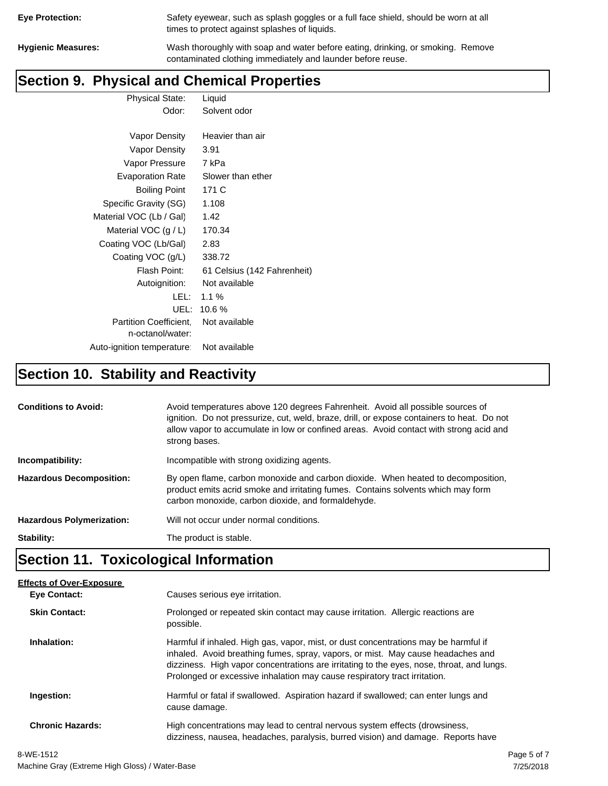| <b>Eye Protection:</b> |  |
|------------------------|--|
|                        |  |

Safety eyewear, such as splash goggles or a full face shield, should be worn at all times to protect against splashes of liquids.

**Hygienic Measures:** Wash thoroughly with soap and water before eating, drinking, or smoking. Remove contaminated clothing immediately and launder before reuse.

## **Section 9. Physical and Chemical Properties**

| <b>Physical State:</b> | Liquid       |  |
|------------------------|--------------|--|
| Odor:                  | Solvent odor |  |
|                        |              |  |

| Vapor Density                                     | Heavier than air            |
|---------------------------------------------------|-----------------------------|
| Vapor Density                                     | 3.91                        |
| Vapor Pressure                                    | 7 kPa                       |
| <b>Evaporation Rate</b>                           | Slower than ether           |
| <b>Boiling Point</b>                              | 171 C                       |
| Specific Gravity (SG)                             | 1.108                       |
| Material VOC (Lb / Gal)                           | 1.42                        |
| Material VOC $(g / L)$                            | 170.34                      |
| Coating VOC (Lb/Gal)                              | 2.83                        |
| Coating VOC (g/L)                                 | 338.72                      |
| Flash Point:                                      | 61 Celsius (142 Fahrenheit) |
| Autoignition:                                     | Not available               |
| LEL:                                              | $1.1\%$                     |
| UEL:                                              | 10.6%                       |
| <b>Partition Coefficient.</b><br>n-octanol/water: | Not available               |
| Auto-ignition temperature:                        | Not available               |

# **Section 10. Stability and Reactivity**

| <b>Conditions to Avoid:</b>      | Avoid temperatures above 120 degrees Fahrenheit. Avoid all possible sources of<br>ignition. Do not pressurize, cut, weld, braze, drill, or expose containers to heat. Do not<br>allow vapor to accumulate in low or confined areas. Avoid contact with strong acid and<br>strong bases. |  |
|----------------------------------|-----------------------------------------------------------------------------------------------------------------------------------------------------------------------------------------------------------------------------------------------------------------------------------------|--|
| Incompatibility:                 | Incompatible with strong oxidizing agents.                                                                                                                                                                                                                                              |  |
| <b>Hazardous Decomposition:</b>  | By open flame, carbon monoxide and carbon dioxide. When heated to decomposition,<br>product emits acrid smoke and irritating fumes. Contains solvents which may form<br>carbon monoxide, carbon dioxide, and formaldehyde.                                                              |  |
| <b>Hazardous Polymerization:</b> | Will not occur under normal conditions.                                                                                                                                                                                                                                                 |  |
| Stability:                       | The product is stable.                                                                                                                                                                                                                                                                  |  |

# **Section 11. Toxicological Information**

| <b>Effects of Over-Exposure</b> |                                                                                                                                                                                                                                                                                                                                                  |
|---------------------------------|--------------------------------------------------------------------------------------------------------------------------------------------------------------------------------------------------------------------------------------------------------------------------------------------------------------------------------------------------|
| <b>Eve Contact:</b>             | Causes serious eye irritation.                                                                                                                                                                                                                                                                                                                   |
| <b>Skin Contact:</b>            | Prolonged or repeated skin contact may cause irritation. Allergic reactions are<br>possible.                                                                                                                                                                                                                                                     |
| Inhalation:                     | Harmful if inhaled. High gas, vapor, mist, or dust concentrations may be harmful if<br>inhaled. Avoid breathing fumes, spray, vapors, or mist. May cause headaches and<br>dizziness. High vapor concentrations are irritating to the eyes, nose, throat, and lungs.<br>Prolonged or excessive inhalation may cause respiratory tract irritation. |
| Ingestion:                      | Harmful or fatal if swallowed. Aspiration hazard if swallowed; can enter lungs and<br>cause damage.                                                                                                                                                                                                                                              |
| <b>Chronic Hazards:</b>         | High concentrations may lead to central nervous system effects (drowsiness,<br>dizziness, nausea, headaches, paralysis, burred vision) and damage. Reports have                                                                                                                                                                                  |
|                                 |                                                                                                                                                                                                                                                                                                                                                  |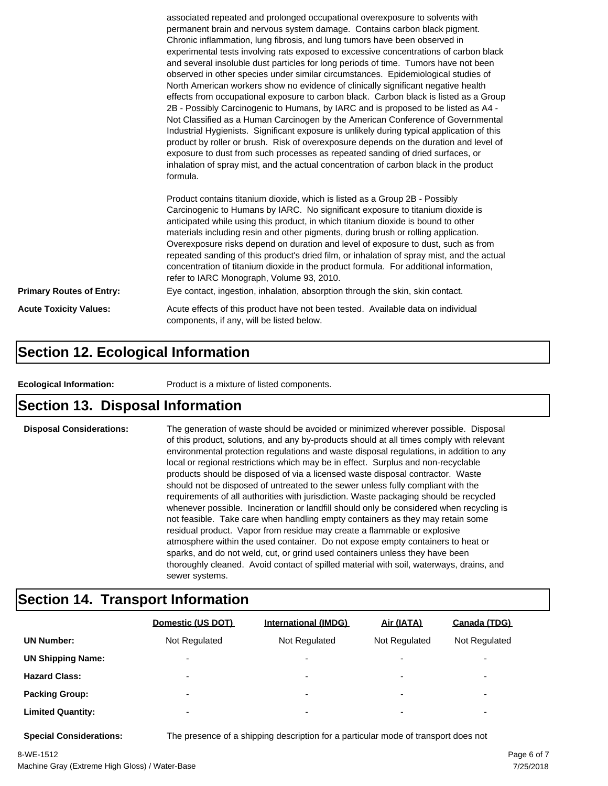|                                 | associated repeated and prolonged occupational overexposure to solvents with<br>permanent brain and nervous system damage. Contains carbon black pigment.<br>Chronic inflammation, lung fibrosis, and lung tumors have been observed in<br>experimental tests involving rats exposed to excessive concentrations of carbon black<br>and several insoluble dust particles for long periods of time. Tumors have not been<br>observed in other species under similar circumstances. Epidemiological studies of<br>North American workers show no evidence of clinically significant negative health<br>effects from occupational exposure to carbon black. Carbon black is listed as a Group<br>2B - Possibly Carcinogenic to Humans, by IARC and is proposed to be listed as A4 -<br>Not Classified as a Human Carcinogen by the American Conference of Governmental<br>Industrial Hygienists. Significant exposure is unlikely during typical application of this<br>product by roller or brush. Risk of overexposure depends on the duration and level of<br>exposure to dust from such processes as repeated sanding of dried surfaces, or<br>inhalation of spray mist, and the actual concentration of carbon black in the product<br>formula.<br>Product contains titanium dioxide, which is listed as a Group 2B - Possibly<br>Carcinogenic to Humans by IARC. No significant exposure to titanium dioxide is<br>anticipated while using this product, in which titanium dioxide is bound to other<br>materials including resin and other pigments, during brush or rolling application.<br>Overexposure risks depend on duration and level of exposure to dust, such as from |  |  |
|---------------------------------|------------------------------------------------------------------------------------------------------------------------------------------------------------------------------------------------------------------------------------------------------------------------------------------------------------------------------------------------------------------------------------------------------------------------------------------------------------------------------------------------------------------------------------------------------------------------------------------------------------------------------------------------------------------------------------------------------------------------------------------------------------------------------------------------------------------------------------------------------------------------------------------------------------------------------------------------------------------------------------------------------------------------------------------------------------------------------------------------------------------------------------------------------------------------------------------------------------------------------------------------------------------------------------------------------------------------------------------------------------------------------------------------------------------------------------------------------------------------------------------------------------------------------------------------------------------------------------------------------------------------------------------------------------------------------------|--|--|
|                                 | repeated sanding of this product's dried film, or inhalation of spray mist, and the actual<br>concentration of titanium dioxide in the product formula. For additional information,<br>refer to IARC Monograph, Volume 93, 2010.                                                                                                                                                                                                                                                                                                                                                                                                                                                                                                                                                                                                                                                                                                                                                                                                                                                                                                                                                                                                                                                                                                                                                                                                                                                                                                                                                                                                                                                   |  |  |
| <b>Primary Routes of Entry:</b> | Eye contact, ingestion, inhalation, absorption through the skin, skin contact.                                                                                                                                                                                                                                                                                                                                                                                                                                                                                                                                                                                                                                                                                                                                                                                                                                                                                                                                                                                                                                                                                                                                                                                                                                                                                                                                                                                                                                                                                                                                                                                                     |  |  |
| <b>Acute Toxicity Values:</b>   | Acute effects of this product have not been tested. Available data on individual<br>components, if any, will be listed below.                                                                                                                                                                                                                                                                                                                                                                                                                                                                                                                                                                                                                                                                                                                                                                                                                                                                                                                                                                                                                                                                                                                                                                                                                                                                                                                                                                                                                                                                                                                                                      |  |  |

### **Section 12. Ecological Information**

**Ecological Information:** Product is a mixture of listed components.

### **Section 13. Disposal Information**

**Disposal Considerations:** The generation of waste should be avoided or minimized wherever possible. Disposal of this product, solutions, and any by-products should at all times comply with relevant environmental protection regulations and waste disposal regulations, in addition to any local or regional restrictions which may be in effect. Surplus and non-recyclable products should be disposed of via a licensed waste disposal contractor. Waste should not be disposed of untreated to the sewer unless fully compliant with the requirements of all authorities with jurisdiction. Waste packaging should be recycled whenever possible. Incineration or landfill should only be considered when recycling is not feasible. Take care when handling empty containers as they may retain some residual product. Vapor from residue may create a flammable or explosive atmosphere within the used container. Do not expose empty containers to heat or sparks, and do not weld, cut, or grind used containers unless they have been thoroughly cleaned. Avoid contact of spilled material with soil, waterways, drains, and sewer systems.

### **Section 14. Transport Information**

|                          | Domestic (US DOT)        | <b>International (IMDG)</b> | Air (IATA)               | Canada (TDG)             |
|--------------------------|--------------------------|-----------------------------|--------------------------|--------------------------|
| <b>UN Number:</b>        | Not Regulated            | Not Regulated               | Not Regulated            | Not Regulated            |
| <b>UN Shipping Name:</b> | $\overline{\phantom{0}}$ | $\overline{\phantom{0}}$    | $\overline{\phantom{0}}$ | $\overline{\phantom{0}}$ |
| <b>Hazard Class:</b>     | $\overline{\phantom{a}}$ | $\overline{\phantom{0}}$    | $\overline{\phantom{a}}$ | $\overline{\phantom{a}}$ |
| <b>Packing Group:</b>    | $\overline{\phantom{0}}$ | $\overline{\phantom{a}}$    | $\overline{\phantom{0}}$ | ۰                        |
| <b>Limited Quantity:</b> | $\overline{\phantom{0}}$ | $\overline{\phantom{0}}$    | $\overline{\phantom{0}}$ | $\overline{\phantom{a}}$ |

**Special Considerations:** The presence of a shipping description for a particular mode of transport does not